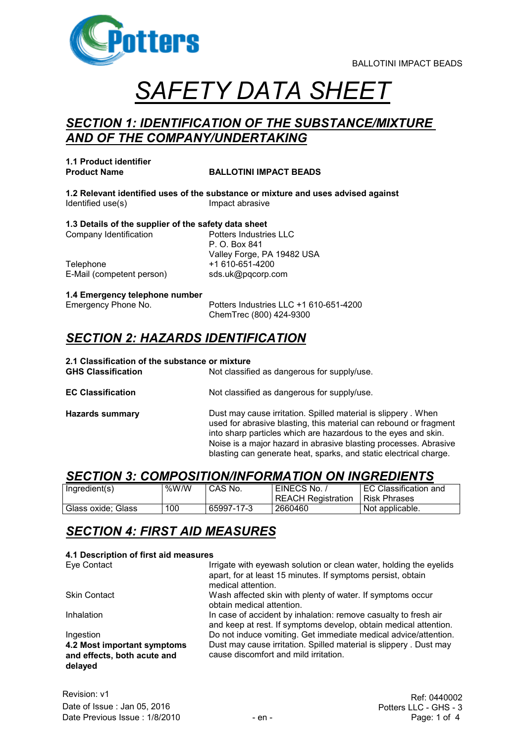

# *SAFETY DATA SHEET*

#### *SECTION 1: IDENTIFICATION OF THE SUBSTANCE/MIXTURE AND OF THE COMPANY/UNDERTAKING*

**1.1 Product identifier**

#### **Product Name BALLOTINI IMPACT BEADS**

**1.2 Relevant identified uses of the substance or mixture and uses advised against** Identified use(s) **Impact abrasive** 

**1.3 Details of the supplier of the safety data sheet** Company Identification **Potters Industries LLC** 

Telephone +1 610-651-4200 E-Mail (competent person) sds.uk@pqcorp.com

P. O. Box 841 Valley Forge, PA 19482 USA

# **1.4 Emergency telephone number**

Potters Industries LLC +1 610-651-4200 ChemTrec (800) 424-9300

#### *SECTION 2: HAZARDS IDENTIFICATION*

## **2.1 Classification of the substance or mixture**

Not classified as dangerous for supply/use. **EC Classification** Not classified as dangerous for supply/use.

**Hazards summary Dust may cause irritation. Spilled material is slippery . When** used for abrasive blasting, this material can rebound or fragment into sharp particles which are hazardous to the eyes and skin. Noise is a major hazard in abrasive blasting processes. Abrasive blasting can generate heat, sparks, and static electrical charge.

#### *SECTION 3: COMPOSITION/INFORMATION ON INGREDIENTS*

| Ingredient(s)      | %W/W | CAS No.    | EINECS No.<br>REACH Registration | EC Classification and<br><b>Risk Phrases</b> |
|--------------------|------|------------|----------------------------------|----------------------------------------------|
| Glass oxide: Glass | 100  | 65997-17-3 | 2660460                          | Not applicable.                              |

### *SECTION 4: FIRST AID MEASURES*

#### **4.1 Description of first aid measures**

| Eye Contact                                                           | Irrigate with eyewash solution or clean water, holding the eyelids<br>apart, for at least 15 minutes. If symptoms persist, obtain<br>medical attention. |
|-----------------------------------------------------------------------|---------------------------------------------------------------------------------------------------------------------------------------------------------|
| <b>Skin Contact</b>                                                   | Wash affected skin with plenty of water. If symptoms occur<br>obtain medical attention.                                                                 |
| Inhalation                                                            | In case of accident by inhalation: remove casualty to fresh air<br>and keep at rest. If symptoms develop, obtain medical attention.                     |
| Ingestion                                                             | Do not induce vomiting. Get immediate medical advice/attention.                                                                                         |
| 4.2 Most important symptoms<br>and effects, both acute and<br>delayed | Dust may cause irritation. Spilled material is slippery. Dust may<br>cause discomfort and mild irritation.                                              |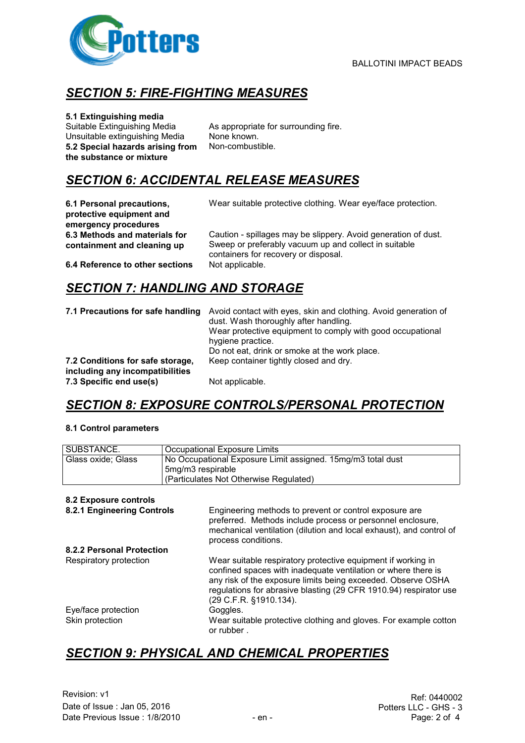

### *SECTION 5: FIRE-FIGHTING MEASURES*

#### **5.1 Extinguishing media**

Suitable Extinguishing Media As appropriate for surrounding fire. Unsuitable extinguishing Media None known. **5.2 Special hazards arising from the substance or mixture**

Non-combustible.

### *SECTION 6: ACCIDENTAL RELEASE MEASURES*

**6.1 Personal precautions, protective equipment and emergency procedures 6.3 Methods and materials for containment and cleaning up**

Wear suitable protective clothing. Wear eye/face protection.

Caution - spillages may be slippery. Avoid generation of dust. Sweep or preferably vacuum up and collect in suitable containers for recovery or disposal.<br>Not applicable.

**6.4 Reference to other sections** 

### *SECTION 7: HANDLING AND STORAGE*

| 7.1 Precautions for safe handling                                   | Avoid contact with eyes, skin and clothing. Avoid generation of<br>dust. Wash thoroughly after handling.<br>Wear protective equipment to comply with good occupational<br>hygiene practice.<br>Do not eat, drink or smoke at the work place. |
|---------------------------------------------------------------------|----------------------------------------------------------------------------------------------------------------------------------------------------------------------------------------------------------------------------------------------|
| 7.2 Conditions for safe storage,<br>including any incompatibilities | Keep container tightly closed and dry.                                                                                                                                                                                                       |
| 7.3 Specific end use(s)                                             | Not applicable.                                                                                                                                                                                                                              |

### *SECTION 8: EXPOSURE CONTROLS/PERSONAL PROTECTION*

#### **8.1 Control parameters**

| SUBSTANCE.                             | <b>Occupational Exposure Limits</b>                                                                                                                                                                                                                                                          |  |  |
|----------------------------------------|----------------------------------------------------------------------------------------------------------------------------------------------------------------------------------------------------------------------------------------------------------------------------------------------|--|--|
| Glass oxide; Glass                     | No Occupational Exposure Limit assigned. 15mg/m3 total dust                                                                                                                                                                                                                                  |  |  |
|                                        | 5mg/m3 respirable                                                                                                                                                                                                                                                                            |  |  |
|                                        | (Particulates Not Otherwise Regulated)                                                                                                                                                                                                                                                       |  |  |
|                                        |                                                                                                                                                                                                                                                                                              |  |  |
| 8.2 Exposure controls                  |                                                                                                                                                                                                                                                                                              |  |  |
| 8.2.1 Engineering Controls             | Engineering methods to prevent or control exposure are<br>preferred. Methods include process or personnel enclosure,<br>mechanical ventilation (dilution and local exhaust), and control of<br>process conditions.                                                                           |  |  |
| 8.2.2 Personal Protection              |                                                                                                                                                                                                                                                                                              |  |  |
| Respiratory protection                 | Wear suitable respiratory protective equipment if working in<br>confined spaces with inadequate ventilation or where there is<br>any risk of the exposure limits being exceeded. Observe OSHA<br>regulations for abrasive blasting (29 CFR 1910.94) respirator use<br>(29 C.F.R. §1910.134). |  |  |
| Eye/face protection<br>Skin protection | Goggles.<br>Wear suitable protective clothing and gloves. For example cotton<br>or rubber.                                                                                                                                                                                                   |  |  |

### *SECTION 9: PHYSICAL AND CHEMICAL PROPERTIES*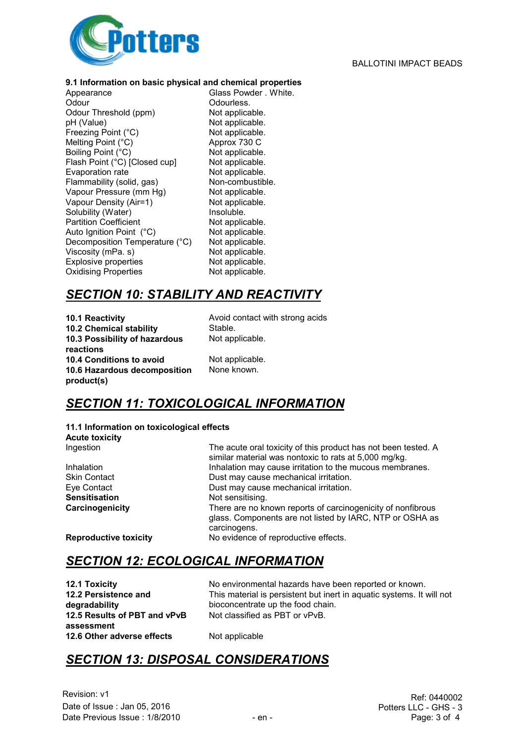

#### **9.1 Information on basic physical and chemical properties**

Appearance Glass Powder . White. Odour<br>
Odour Threshold (ppm) Not applicable. Odour Threshold (ppm) pH (Value) Not applicable. Freezing Point (°C) Not applicable. Melting Point (°C) Approx 730 C<br>Boiling Point (°C) Mot applicable. Boiling Point (°C) Not applicable.<br>Flash Point (°C) [Closed cup] Not applicable. Flash Point (°C) [Closed cup] Not applicable.<br>
Evaporation rate Not applicable. Evaporation rate Flammability (solid, gas) Non-combustible. Vapour Pressure (mm Hg) Not applicable. Vapour Density (Air=1) Not applicable. Solubility (Water) **Insoluble.** Partition Coefficient Not applicable. Auto Ignition Point (°C) Not applicable.<br>Decomposition Temperature (°C) Not applicable. Decomposition Temperature (°C) Not applicable.<br>Viscosity (mPa. s) Not applicable. Viscosity ( $mPa. s$ ) Explosive properties Not applicable.<br>
Oxidising Properties Not applicable. Oxidising Properties

#### *SECTION 10: STABILITY AND REACTIVITY*

**10.1 Reactivity 10.1 Reactivity Avoid contact with strong acids 10.2 Chemical stability** Stable. **10.3 Possibility of hazardous reactions 10.4 Conditions to avoid** Not applicable. **10.6 Hazardous decomposition product(s)**

Not applicable.

None known.

### *SECTION 11: TOXICOLOGICAL INFORMATION*

**11.1 Information on toxicological effects Acute toxicity** Ingestion The acute oral toxicity of this product has not been tested. A

similar material was nontoxic to rats at 5,000 mg/kg. Inhalation Inhalation may cause irritation to the mucous membranes. Skin Contact **Dust may cause mechanical irritation.**<br>
Eye Contact **Dust may cause mechanical irritation**. Dust may cause mechanical irritation. **Sensitisation** Not sensitising. **Carcinogenicity** There are no known reports of carcinogenicity of nonfibrous glass. Components are not listed by IARC, NTP or OSHA as carcinogens. **Reproductive toxicity** No evidence of reproductive effects.

### *SECTION 12: ECOLOGICAL INFORMATION*

**12.2 Persistence and degradability 12.5 Results of PBT and vPvB assessment 12.6 Other adverse effects** Not applicable

**12.1 Toxicity** No environmental hazards have been reported or known. This material is persistent but inert in aquatic systems. It will not bioconcentrate up the food chain. Not classified as PBT or vPvB.

### *SECTION 13: DISPOSAL CONSIDERATIONS*